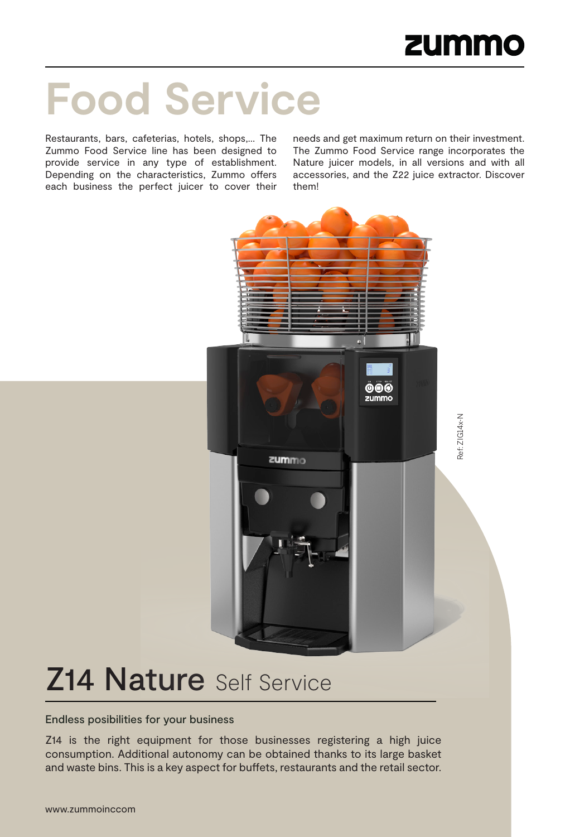# **Food Service**

Restaurants, bars, cafeterias, hotels, shops,… The Zummo Food Service line has been designed to provide service in any type of establishment. Depending on the characteristics, Zummo offers each business the perfect juicer to cover their needs and get maximum return on their investment. The Zummo Food Service range incorporates the Nature juicer models, in all versions and with all accessories, and the Z22 juice extractor. Discover them!



# **Z14 Nature Self Service**

### Endless posibilities for your business

Z14 is the right equipment for those businesses registering a high juice consumption. Additional autonomy can be obtained thanks to its large basket and waste bins. This is a key aspect for buffets, restaurants and the retail sector.